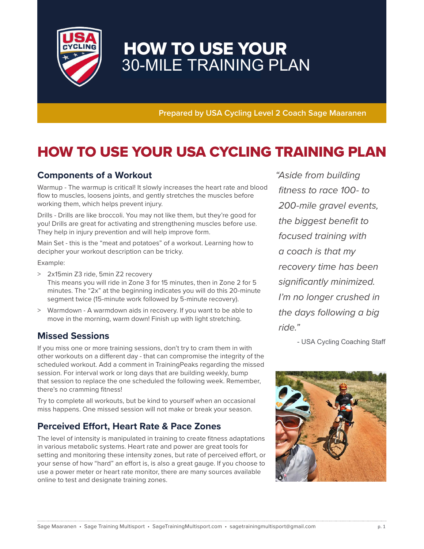

# HOW TO USE YOUR 30-MILE TRAINING PLAN

**Prepared by USA Cycling Level 2 Coach Sage Maaranen**

## HOW TO USE YOUR USA CYCLING TRAINING PLAN

### **Components of a Workout**

Warmup - The warmup is critical! It slowly increases the heart rate and blood flow to muscles, loosens joints, and gently stretches the muscles before working them, which helps prevent injury.

Drills - Drills are like broccoli. You may not like them, but they're good for you! Drills are great for activating and strengthening muscles before use. They help in injury prevention and will help improve form.

Main Set - this is the "meat and potatoes" of a workout. Learning how to decipher your workout description can be tricky.

Example:

- > 2x15min Z3 ride, 5min Z2 recovery This means you will ride in Zone 3 for 15 minutes, then in Zone 2 for 5 minutes. The "2x" at the beginning indicates you will do this 20-minute segment twice (15-minute work followed by 5-minute recovery).
- > Warmdown A warmdown aids in recovery. If you want to be able to move in the morning, warm down! Finish up with light stretching.

### **Missed Sessions**

If you miss one or more training sessions, don't try to cram them in with other workouts on a different day - that can compromise the integrity of the scheduled workout. Add a comment in TrainingPeaks regarding the missed session. For interval work or long days that are building weekly, bump that session to replace the one scheduled the following week. Remember, there's no cramming fitness!

Try to complete all workouts, but be kind to yourself when an occasional miss happens. One missed session will not make or break your season.

### **Perceived Effort, Heart Rate & Pace Zones**

The level of intensity is manipulated in training to create fitness adaptations in various metabolic systems. Heart rate and power are great tools for setting and monitoring these intensity zones, but rate of perceived effort, or your sense of how "hard" an effort is, is also a great gauge. If you choose to use a power meter or heart rate monitor, there are many sources available online to test and designate training zones.

" Aside from building fitness to race 100- to 200-mile gravel events, the biggest benefit to focused training with a coach is that my recovery time has been significantly minimized. I'm no longer crushed in the days following a big ride."

- USA Cycling Coaching Staff

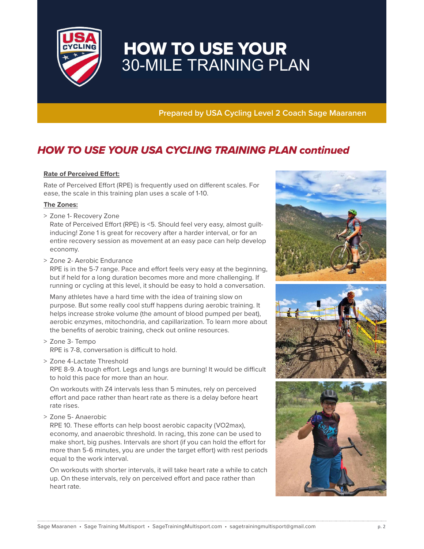

# HOW TO USE YOUR 30-MILE TRAINING PLAN

**Prepared by USA Cycling Level 2 Coach Sage Maaranen**

### HOW TO USE YOUR USA CYCLING TRAINING PLAN continued

#### **Rate of Perceived Effort:**

Rate of Perceived Effort (RPE) is frequently used on different scales. For ease, the scale in this training plan uses a scale of 1-10.

#### **The Zones:**

> Zone 1- Recovery Zone

 Rate of Perceived Effort (RPE) is <5. Should feel very easy, almost guiltinducing! Zone 1 is great for recovery after a harder interval, or for an entire recovery session as movement at an easy pace can help develop economy.

> Zone 2- Aerobic Endurance

 RPE is in the 5-7 range. Pace and effort feels very easy at the beginning, but if held for a long duration becomes more and more challenging. If running or cycling at this level, it should be easy to hold a conversation.

 Many athletes have a hard time with the idea of training slow on purpose. But some really cool stuff happens during aerobic training. It helps increase stroke volume (the amount of blood pumped per beat), aerobic enzymes, mitochondria, and capillarization. To learn more about the benefits of aerobic training, check out online resources.

- > Zone 3- Tempo RPE is 7-8, conversation is difficult to hold.
- > Zone 4-Lactate Threshold

 RPE 8-9. A tough effort. Legs and lungs are burning! It would be difficult to hold this pace for more than an hour.

 On workouts with Z4 intervals less than 5 minutes, rely on perceived effort and pace rather than heart rate as there is a delay before heart rate rises.

> Zone 5- Anaerobic

 RPE 10. These efforts can help boost aerobic capacity (VO2max), economy, and anaerobic threshold. In racing, this zone can be used to make short, big pushes. Intervals are short (if you can hold the effort for more than 5-6 minutes, you are under the target effort) with rest periods equal to the work interval.

 On workouts with shorter intervals, it will take heart rate a while to catch up. On these intervals, rely on perceived effort and pace rather than heart rate.

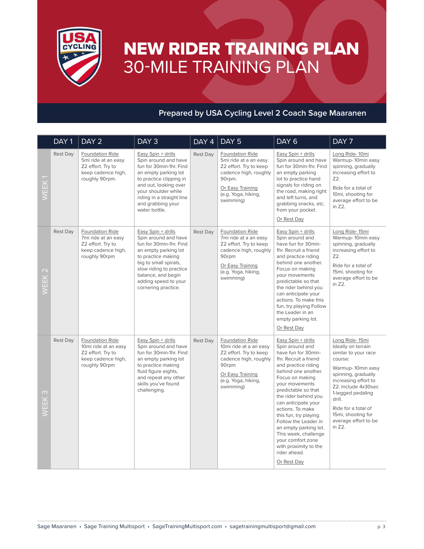

# NEW RIDER TRAINING PLAN 30-MILE TRAINING PLAN

## **Prepared by USA Cycling Level 2 Coach Sage Maaranen**

|                             | DAY <sub>1</sub> | DAY <sub>2</sub>                                                                                           | DAY3                                                                                                                                                                                                                                         | DAY 4    | DAY <sub>5</sub>                                                                                                                                              | DAY <sub>6</sub>                                                                                                                                                                                                                                                                                                                                                                                                                                  | DAY 7                                                                                                                                                                                                                                                                            |
|-----------------------------|------------------|------------------------------------------------------------------------------------------------------------|----------------------------------------------------------------------------------------------------------------------------------------------------------------------------------------------------------------------------------------------|----------|---------------------------------------------------------------------------------------------------------------------------------------------------------------|---------------------------------------------------------------------------------------------------------------------------------------------------------------------------------------------------------------------------------------------------------------------------------------------------------------------------------------------------------------------------------------------------------------------------------------------------|----------------------------------------------------------------------------------------------------------------------------------------------------------------------------------------------------------------------------------------------------------------------------------|
| WEEK1                       | Rest Day         | Foundation Ride<br>5mi ride at an easy<br>Z2 effort. Try to<br>keep cadence high,<br>roughly 90rpm.        | Easy Spin + drills<br>Spin around and have<br>fun for 30min-1hr. Find<br>an empty parking lot<br>to practice clipping in<br>and out, looking over<br>your shoulder while<br>riding in a straight line<br>and grabbing your<br>water bottle.  | Rest Day | Foundation Ride<br>5mi ride at a an easy<br>Z2 effort. Try to keep<br>cadence high, roughly<br>90rpm.<br>Or Easy Training<br>(e.g. Yoga, hiking,<br>swimming) | Easy Spin + drills<br>Spin around and have<br>fun for 30min-1hr. Find<br>an empty parking<br>lot to practice hand<br>signals for riding on<br>the road, making right<br>and left turns, and<br>grabbing snacks, etc.<br>from your pocket.<br>Or Rest Day                                                                                                                                                                                          | Long Ride-10mi<br>Warmup-10min easy<br>spinning, gradually<br>increasing effort to<br>Z2.<br>Ride for a total of<br>10mi, shooting for<br>average effort to be<br>in Z2.                                                                                                         |
| $\mathbf{\Omega}$<br>WEEK ; | Rest Day         | <b>Foundation Ride</b><br>7mi ride at an easy<br>Z2 effort. Try to<br>keep cadence high,<br>roughly 90rpm  | Easy Spin + drills<br>Spin around and have<br>fun for 30min-1hr. Find<br>an empty parking lot<br>to practice making<br>big to small spirals,<br>slow riding to practice<br>balance, and begin<br>adding speed to your<br>cornering practice. | Rest Day | Foundation Ride<br>7mi ride at a an easy<br>Z2 effort. Try to keep<br>cadence high, roughly<br>90rpm<br>Or Easy Training<br>(e.g. Yoga, hiking,<br>swimming)  | Easy Spin + drills<br>Spin around and<br>have fun for 30min-<br>1hr. Recruit a friend<br>and practice riding<br>behind one another.<br>Focus on making<br>your movements<br>predictable so that<br>the rider behind you<br>can anticipate your<br>actions. To make this<br>fun, try playing Follow<br>the Leader in an<br>empty parking lot.<br>Or Rest Day                                                                                       | Long Ride-15mi<br>Warmup-10min easy<br>spinning, gradually<br>increasing effort to<br>Z2.<br>Ride for a total of<br>15mi, shooting for<br>average effort to be<br>in Z2.                                                                                                         |
| $\infty$<br>WEEK            | Rest Day         | <b>Foundation Ride</b><br>10mi ride at an easy<br>Z2 effort. Try to<br>keep cadence high,<br>roughly 90rpm | Easy Spin + drills<br>Spin around and have<br>fun for 30min-1hr. Find<br>an empty parking lot<br>to practice making<br>fluid figure eights,<br>and repeat any other<br>skills you've found<br>challenging.                                   | Rest Day | Foundation Ride<br>10mi ride at a an easy<br>Z2 effort. Try to keep<br>cadence high, roughly<br>90rpm<br>Or Easy Training<br>(e.g. Yoga, hiking,<br>swimming) | Easy Spin + drills<br>Spin around and<br>have fun for 30min-<br>1hr. Recruit a friend<br>and practice riding<br>behind one another.<br>Focus on making<br>your movements<br>predictable so that<br>the rider behind you<br>can anticipate your<br>actions. To make<br>this fun, try playing<br>Follow the Leader in<br>an empty parking lot.<br>This week, challenge<br>your comfort zone<br>with proximity to the<br>rider ahead.<br>Or Rest Day | Long Ride-15mi<br>Ideally on terrain<br>similar to your race<br>course:<br>Warmup-10min easy<br>spinning, gradually<br>increasing effort to<br>Z2. Include 4x30sec<br>1-legged pedaling<br>drill.<br>Ride for a total of<br>15mi, shooting for<br>average effort to be<br>in Z2. |
|                             |                  |                                                                                                            | Sage Maaranen • Sage Training Multisport • SageTrainingMultisport.com • sagetrainingmultisport@gmail.com                                                                                                                                     |          |                                                                                                                                                               |                                                                                                                                                                                                                                                                                                                                                                                                                                                   | p. 3                                                                                                                                                                                                                                                                             |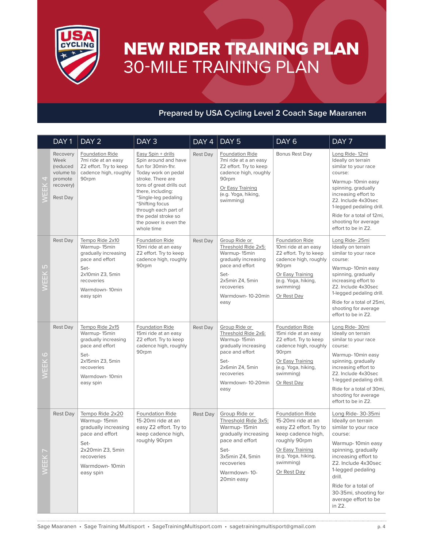

# NEW RIDER TRAINING PLAN 30-MILE TRAINING PLAN

### **Prepared by USA Cycling Level 2 Coach Sage Maaranen**

|                                                                                                                  | DAY <sub>1</sub>                                                                     | DAY <sub>2</sub>                                                                                                                                    | DAY <sub>3</sub>                                                                                                                                                                                                                                                                               | DAY 4           | DAY <sub>5</sub>                                                                                                                                                       | DAY <sub>6</sub>                                                                                                                                                                     | DAY <sub>7</sub>                                                                                                                                                                                                                                                                           |
|------------------------------------------------------------------------------------------------------------------|--------------------------------------------------------------------------------------|-----------------------------------------------------------------------------------------------------------------------------------------------------|------------------------------------------------------------------------------------------------------------------------------------------------------------------------------------------------------------------------------------------------------------------------------------------------|-----------------|------------------------------------------------------------------------------------------------------------------------------------------------------------------------|--------------------------------------------------------------------------------------------------------------------------------------------------------------------------------------|--------------------------------------------------------------------------------------------------------------------------------------------------------------------------------------------------------------------------------------------------------------------------------------------|
| 4<br><b>WEEK</b>                                                                                                 | Recovery<br>Week<br>(reduced<br>volume to<br>promote<br>recovery)<br><b>Rest Day</b> | Foundation Ride<br>7mi ride at an easy<br>Z2 effort. Try to keep<br>cadence high, roughly<br>90rpm                                                  | Easy Spin + drills<br>Spin around and have<br>fun for 30min-1hr.<br>Today work on pedal<br>stroke. There are<br>tons of great drills out<br>there, including:<br>*Single-leg pedaling<br>*Shifting focus<br>through each part of<br>the pedal stroke so<br>the power is even the<br>whole time | Rest Day        | <b>Foundation Ride</b><br>7mi ride at a an easy<br>Z2 effort. Try to keep<br>cadence high, roughly<br>90rpm<br>Or Easy Training<br>(e.g. Yoga, hiking,<br>swimming)    | Bonus Rest Day                                                                                                                                                                       | Long Ride-12mi<br>Ideally on terrain<br>similar to your race<br>course:<br>Warmup-10min easy<br>spinning, gradually<br>increasing effort to<br>Z2. Include 4x30sec<br>1-legged pedaling drill.<br>Ride for a total of 12mi,<br>shooting for average<br>effort to be in Z2.                 |
| LO<br><b>WEEK</b>                                                                                                | <b>Rest Day</b>                                                                      | Tempo Ride 2x10<br>Warmup-15min<br>gradually increasing<br>pace and effort<br>Set-<br>2x10min Z3, 5min<br>recoveries<br>Warmdown-10min<br>easy spin | Foundation Ride<br>10mi ride at an easy<br>Z2 effort. Try to keep<br>cadence high, roughly<br>90rpm                                                                                                                                                                                            | Rest Day        | Group Ride or<br>Threshold Ride 2x5:<br>Warmup-15min<br>gradually increasing<br>pace and effort<br>Set-<br>2x5min Z4, 5min<br>recoveries<br>Warmdown-10-20min<br>easy  | <b>Foundation Ride</b><br>10mi ride at an easy<br>Z2 effort. Try to keep<br>cadence high, roughly<br>90rpm<br>Or Easy Training<br>(e.g. Yoga, hiking,<br>swimming)<br>Or Rest Day    | Long Ride-25mi<br>Ideally on terrain<br>similar to your race<br>course:<br>Warmup-10min easy<br>spinning, gradually<br>increasing effort to<br>Z2. Include 4x30sec<br>1-legged pedaling drill.<br>Ride for a total of 25mi,<br>shooting for average<br>effort to be in Z2.                 |
| $\circ$<br>EEK                                                                                                   | <b>Rest Day</b>                                                                      | Tempo Ride 2x15<br>Warmup-15min<br>gradually increasing<br>pace and effort<br>Set-<br>2x15min Z3, 5min<br>recoveries<br>Warmdown-10min<br>easy spin | Foundation Ride<br>15mi ride at an easy<br>Z2 effort. Try to keep<br>cadence high, roughly<br>90rpm                                                                                                                                                                                            | Rest Day        | Group Ride or<br>Threshold Ride 2x6:<br>Warmup-15min<br>gradually increasing<br>pace and effort<br>Set-<br>2x6min Z4, 5min<br>recoveries<br>Warmdown-10-20min<br>easy  | <b>Foundation Ride</b><br>15mi ride at an easy<br>Z2 effort. Try to keep<br>cadence high, roughly<br>90rpm<br>Or Easy Training<br>(e.g. Yoga, hiking,<br>swimming)<br>Or Rest Day    | Long Ride-30mi<br>Ideally on terrain<br>similar to your race<br>course:<br>Warmup-10min easy<br>spinning, gradually<br>increasing effort to<br>Z2. Include 4x30sec<br>1-legged pedaling drill.<br>Ride for a total of 30mi,<br>shooting for average<br>effort to be in Z2.                 |
| WEEK                                                                                                             | <b>Rest Day</b>                                                                      | Tempo Ride 2x20<br>Warmup-15min<br>gradually increasing<br>pace and effort<br>Set-<br>2x20min Z3, 5min<br>recoveries<br>Warmdown-10min<br>easy spin | Foundation Ride<br>15-20mi ride at an<br>easy Z2 effort. Try to<br>keep cadence high,<br>roughly 90rpm                                                                                                                                                                                         | <b>Rest Day</b> | Group Ride or<br>Threshold Ride 3x5:<br>Warmup-15min<br>gradually increasing<br>pace and effort<br>Set-<br>3x5min Z4, 5min<br>recoveries<br>Warmdown-10-<br>20min easy | <b>Foundation Ride</b><br>15-20mi ride at an<br>easy Z2 effort. Try to<br>keep cadence high,<br>roughly 90rpm<br>Or Easy Training<br>(e.g. Yoga, hiking,<br>swimming)<br>Or Rest Day | Long Ride- 30-35mi<br>Ideally on terrain<br>similar to your race<br>course:<br>Warmup-10min easy<br>spinning, gradually<br>increasing effort to<br>Z2. Include 4x30sec<br>1-legged pedaling<br>drill.<br>Ride for a total of<br>30-35mi, shooting for<br>average effort to be<br>in $Z2$ . |
| Sage Maaranen • Sage Training Multisport • SageTrainingMultisport.com • sagetrainingmultisport@gmail.com<br>p. 4 |                                                                                      |                                                                                                                                                     |                                                                                                                                                                                                                                                                                                |                 |                                                                                                                                                                        |                                                                                                                                                                                      |                                                                                                                                                                                                                                                                                            |